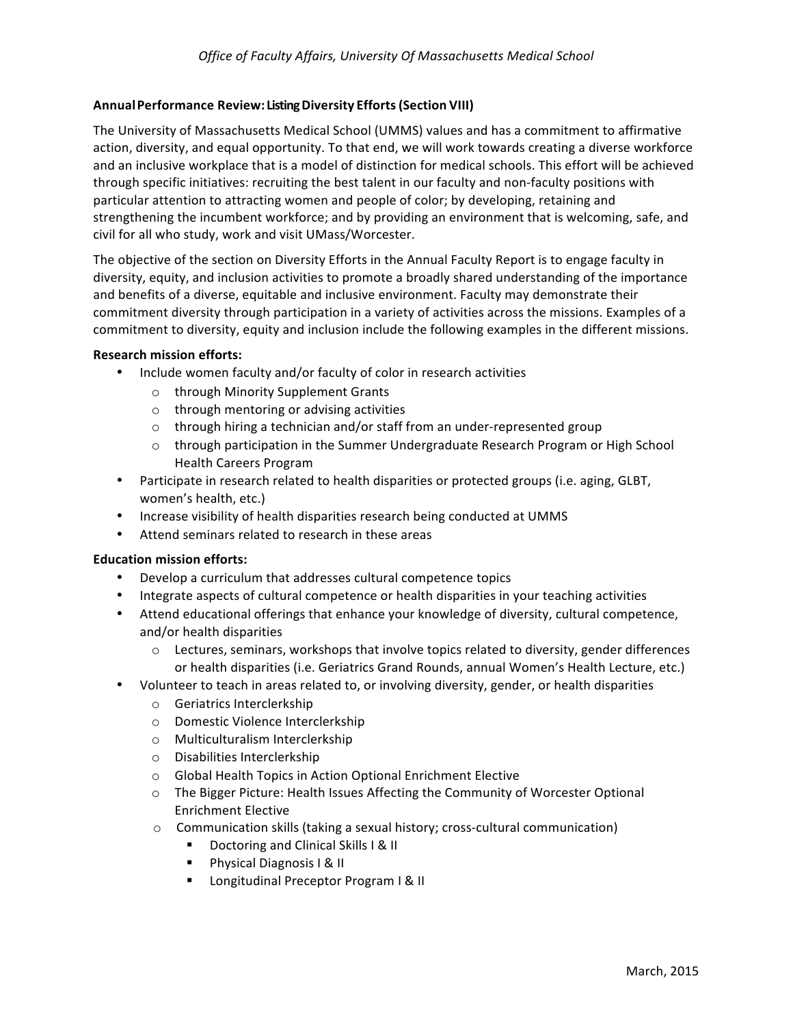### **AnnualPerformance Review: Listing Diversity Efforts(Section VIII)**

The University of Massachusetts Medical School (UMMS) values and has a commitment to affirmative action, diversity, and equal opportunity. To that end, we will work towards creating a diverse workforce and an inclusive workplace that is a model of distinction for medical schools. This effort will be achieved through specific initiatives: recruiting the best talent in our faculty and non-faculty positions with particular attention to attracting women and people of color; by developing, retaining and strengthening the incumbent workforce; and by providing an environment that is welcoming, safe, and civil for all who study, work and visit UMass/Worcester.

The objective of the section on Diversity Efforts in the Annual Faculty Report is to engage faculty in diversity, equity, and inclusion activities to promote a broadly shared understanding of the importance and benefits of a diverse, equitable and inclusive environment. Faculty may demonstrate their commitment diversity through participation in a variety of activities across the missions. Examples of a commitment to diversity, equity and inclusion include the following examples in the different missions.

#### **Research mission efforts:**

- Include women faculty and/or faculty of color in research activities
	- o through Minority Supplement Grants
	- $\circ$  through mentoring or advising activities
	- $\circ$  through hiring a technician and/or staff from an under-represented group
	- $\circ$  through participation in the Summer Undergraduate Research Program or High School Health Careers Program
- Participate in research related to health disparities or protected groups (i.e. aging, GLBT, women's health, etc.)
- Increase visibility of health disparities research being conducted at UMMS
- Attend seminars related to research in these areas

#### **Education mission efforts:**

- Develop a curriculum that addresses cultural competence topics
- Integrate aspects of cultural competence or health disparities in your teaching activities
- Attend educational offerings that enhance your knowledge of diversity, cultural competence, and/or health disparities
	- $\circ$  Lectures, seminars, workshops that involve topics related to diversity, gender differences or health disparities (i.e. Geriatrics Grand Rounds, annual Women's Health Lecture, etc.)
- Volunteer to teach in areas related to, or involving diversity, gender, or health disparities
	- o Geriatrics Interclerkship
	- o Domestic Violence Interclerkship
	- o Multiculturalism Interclerkship
	- o Disabilities Interclerkship
	- $\circ$  Global Health Topics in Action Optional Enrichment Elective
	- $\circ$  The Bigger Picture: Health Issues Affecting the Community of Worcester Optional Enrichment Elective
	- $\circ$  Communication skills (taking a sexual history; cross-cultural communication)
		- **•** Doctoring and Clinical Skills I & II
		- **Physical Diagnosis I & II**
		- **E** Longitudinal Preceptor Program I & II